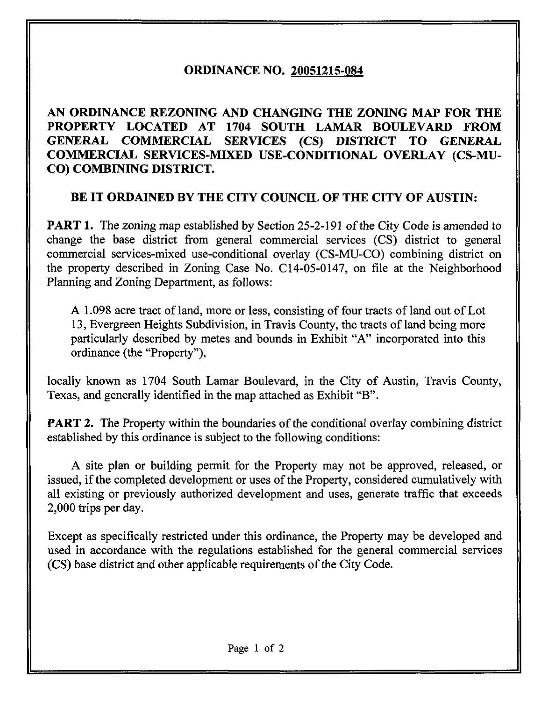# ORDINANCE NO. 20051215-084

AN ORDINANCE REZONING AND CHANGING THE ZONING MAP FOR THE PROPERTY LOCATED AT 1704 SOUTH LAMAR BOULEVARD FROM GENERAL COMMERCIAL SERVICES (CS) DISTRICT TO GENERAL COMMERCIAL SERVICES-MIXED USE-CONDITIONAL OVERLAY (CS-MU-CO) COMBINING DISTRICT.

## BE IT ORDAINED BY THE CITY COUNCIL OF THE CITY OF AUSTIN:

**PART 1.** The zoning map established by Section 25-2-191 of the City Code is amended to change the base district from general commercial services (CS) district to general commercial services-mixed use-conditional overlay (CS-MU-CO) combining district on the property described in Zoning Case No. C14-05-0147, on file at the Neighborhood Planning and Zoning Department, as follows:

A 1.098 acre tract of land, more or less, consisting of four tracts of land out of Lot 13, Evergreen Heights Subdivision, in Travis County, the tracts of land being more particularly described by metes and bounds in Exhibit "A" incorporated into this ordinance (the "Property"),

locally known as 1704 South Lamar Boulevard, in the City of Austin, Travis County, Texas, and generally identified in the map attached as Exhibit "B".

**PART 2.** The Property within the boundaries of the conditional overlay combining district established by this ordinance is subject to the following conditions:

A site plan or building permit for the Property may not be approved, released, or issued, if the completed development or uses of the Property, considered cumulatively with all existing or previously authorized development and uses, generate traffic that exceeds 2,000 trips per day.

Except as specifically restricted under this ordinance, the Property may be developed and used in accordance with the regulations established for the general commercial services (CS) base district and other applicable requirements of the City Code.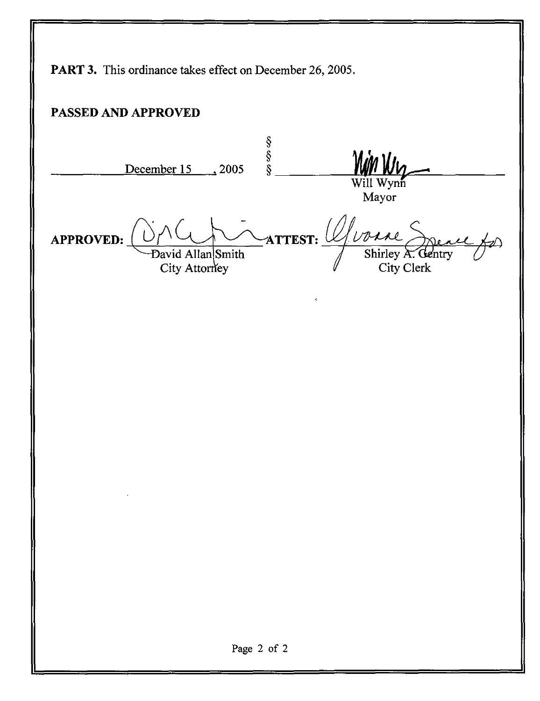PART 3. This ordinance takes effect on December 26, 2005. PASSED AND APPROVED  $\frac{\$}{\$}$ <br>December 15 , 2005 § APPROVED: David Allan Smith ATTEST: *Quare* City Attorney Will Wy Mayor Shirley A. Gentry City Clerk Page 2 of 2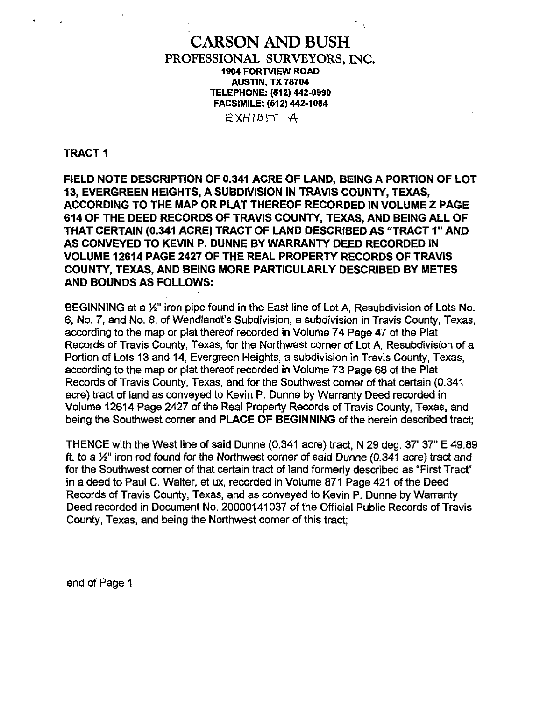CARSON AND BUSH PROFESSIONAL SURVEYORS, INC. 1904 FORTVIEW ROAD AUSTIN, TX 78704 TELEPHONE: (512) 442-0990 FACSIMILE: (512) 442-1084

EXHIBIT A

TRACT 1

FIELD NOTE DESCRIPTION OF 0.341 ACRE OF LAND, BEING A PORTION OF LOT 13, EVERGREEN HEIGHTS, A SUBDIVISION IN TRAVIS COUNTY, TEXAS, ACCORDING TO THE MAP OR PLAT THEREOF RECORDED IN VOLUME 2 PAGE 614 OF THE DEED RECORDS OF TRAVIS COUNTY, TEXAS, AND BEING ALL OF THAT CERTAIN (0.341 ACRE) TRACT OF LAND DESCRIBED AS "TRACT 1" AND AS CONVEYED TO KEVIN P. DUNNE BY WARRANTY DEED RECORDED IN VOLUME 12614 PAGE 2427 OF THE REAL PROPERTY RECORDS OF TRAVIS COUNTY, TEXAS, AND BEING MORE PARTICULARLY DESCRIBED BY METES AND BOUNDS AS FOLLOWS:

BEGINNING at a 1/2" iron pipe found in the East line of Lot A, Resubdivision of Lots No. 6, No. 7, and No. 8, of Wendlandt's Subdivision, a subdivision in Travis County, Texas, according to the map or plat thereof recorded in Volume 74 Page 47 of the Plat Records of Travis County, Texas, for the Northwest corner of Lot A, Resubdivision of a Portion of Lots 13 and 14, Evergreen Heights, a subdivision in Travis County, Texas, according to the map or plat thereof recorded in Volume 73 Page 68 of the Plat Records of Travis County, Texas, and for the Southwest corner of that certain (0.341 acre) tract of land as conveyed to Kevin P. Dunne by Warranty Deed recorded in Volume 12614 Page 2427 of the Real Property Records of Travis County, Texas, and being the Southwest corner and PLACE OF BEGINNING of the herein described tract;

THENCE with the West line of said Dunne (0.341 acre) tract, N 29 deg. 37' 37" E 49.89 ft. to a 1/2" iron rod found for the Northwest corner of said Dunne (0.341 acre) tract and for the Southwest comer of that certain tract of land formerly described as "First Tract" in a deed to Paul C. Walter, et ux, recorded in Volume 871 Page 421 of the Deed Records of Travis County, Texas, and as conveyed to Kevin P. Dunne by Warranty Deed recorded in Document No. 20000141037 of the Official Public Records of Travis County, Texas, and being the Northwest corner of this tract;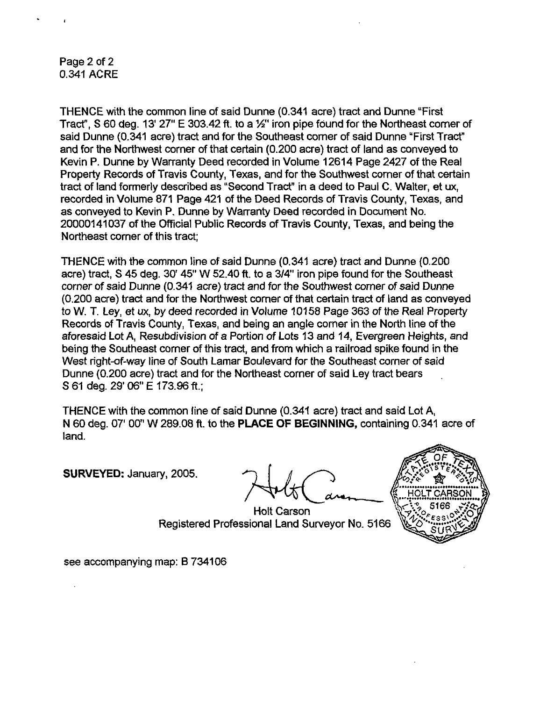Page 2 of 2 0.341 ACRE

THENCE with the common line of said Dunne (0.341 acre) tract and Dunne "First Tract", S 60 deg. 13' 27" E 303.42 ft. to a  $1/2$ " iron pipe found for the Northeast comer of said Dunne (0.341 acre) tract and for the Southeast comer of said Dunne "First Tract" and for the Northwest corner of that certain (0.200 acre) tract of land as conveyed to Kevin P. Dunne by Warranty Deed recorded in Volume 12614 Page 2427 of the Real Property Records of Travis County, Texas, and for the Southwest comer of that certain tract of land formerly described as "Second Tract" in a deed to Paul C. Walter, et ux, recorded in Volume 871 Page 421 of the Deed Records of Travis County, Texas, and as conveyed to Kevin P. Dunne by Warranty Deed recorded in Document No. 20000141037 of the Official Public Records of Travis County, Texas, and being the Northeast comer of this tract;

THENCE with the common line of said Dunne (0.341 acre) tract and Dunne (0.200 acre) tract, S 45 deg. 30' 45" W 52.40 ft, to a 3/4" iron pipe found for the Southeast corner of said Dunne (0.341 acre) tract and for the Southwest corner of said Dunne (0.200 acre) tract and for the Northwest comer of that certain tract of land as conveyed to W. T. Ley, et ux, by deed recorded in Volume 10158 Page 363 of the Real Property Records of Travis County, Texas, and being an angle corner in the North line of the aforesaid Lot A, Resubdivision of a Portion of Lots 13 and 14, Evergreen Heights, and being the Southeast corner of this tract, and from which a railroad spike found in the West right-of-way line of South Lamar Boulevard for the Southeast corner of said Dunne (0.200 acre) tract and for the Northeast corner of said Ley tract bears S61 deg. 29'06" E 173.96 ft.;

THENCE with the common line of said Dunne (0.341 acre) tract and said Lot A, N 60 deg. 07' 00" W 289.08 ft. to the PLACE OF BEGINNING, containing 0.341 acre of land.

SURVEYED: January, 2005.



Holt Carson Registered Professional Land Surveyor No. 5166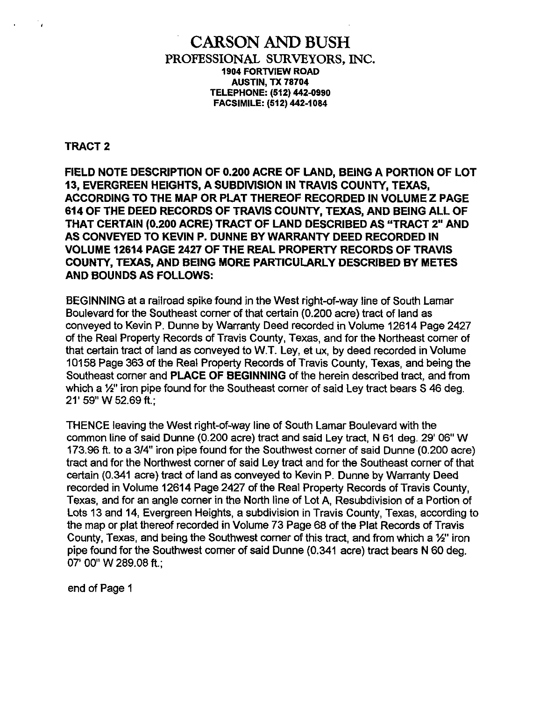#### CARSON AND BUSH PROFESSIONAL SURVEYORS, INC, 1904 FORTVIEW ROAD AUSTIN, TX 78704 TELEPHONE: (512) 442-0990 FACSIMILE: (512)442-1084

#### TRACT 2

FIELD NOTE DESCRIPTION OF 0.200 ACRE OF LAND, BEING A PORTION OF LOT 13, EVERGREEN HEIGHTS, A SUBDIVISION IN TRAVIS COUNTY, TEXAS, ACCORDING TO THE MAP OR PLAT THEREOF RECORDED IN VOLUME Z PAGE 614 OF THE DEED RECORDS OF TRAVIS COUNTY, TEXAS, AND BEING ALL OF THAT CERTAIN (0.200 ACRE) TRACT OF LAND DESCRIBED AS "TRACT 2" AND AS CONVEYED TO KEVIN P. DUNNE BY WARRANTY DEED RECORDED IN VOLUME 12614 PAGE 2427 OF THE REAL PROPERTY RECORDS OF TRAVIS COUNTY, TEXAS, AND BEING MORE PARTICULARLY DESCRIBED BY METES AND BOUNDS AS FOLLOWS:

BEGINNING at a railroad spike found in the West right-of-way line of South Lamar Boulevard for the Southeast comer of that certain (0.200 acre) tract of land as conveyed to Kevin P. Dunne by Warranty Deed recorded in Volume 12614 Page 2427 of the Real Property Records of Travis County, Texas, and for the Northeast comer of that certain tract of land as conveyed to W.T. Ley, et ux, by deed recorded in Volume 10158 Page 363 of the Real Property Records of Travis County, Texas, and being the Southeast corner and PLACE OF BEGINNING of the herein described tract, and from which a <sup>1</sup>/<sub>2</sub>" iron pipe found for the Southeast corner of said Ley tract bears S 46 deg. 21' 59" W 52.69 ft.;

THENCE leaving the West right-of-way line of South Lamar Boulevard with the common line of said Dunne (0.200 acre) tract and said Ley tract, N 61 deg. 29' 06" W 173.96 ft. to a 3/4" iron pipe found for the Southwest corner of said Dunne (0.200 acre) tract and for the Northwest corner of said Ley tract and for the Southeast corner of that certain (0.341 acre) tract of land as conveyed to Kevin P. Dunne by Warranty Deed recorded in Volume 12614 Page 2427 of the Real Property Records of Travis County, Texas, and for an angle comer in the North line of Lot A, Resubdivision of a Portion of Lots 13 and 14, Evergreen Heights, a subdivision in Travis County, Texas, according to the map or plat thereof recorded in Volume 73 Page 68 of the Plat Records of Travis County, Texas, and being the Southwest corner of this tract, and from which a 1/2" iron pipe found for the Southwest comer of said Dunne (0.341 acre) tract bears N 60 deg. 07' 00" W 289.08 ft.;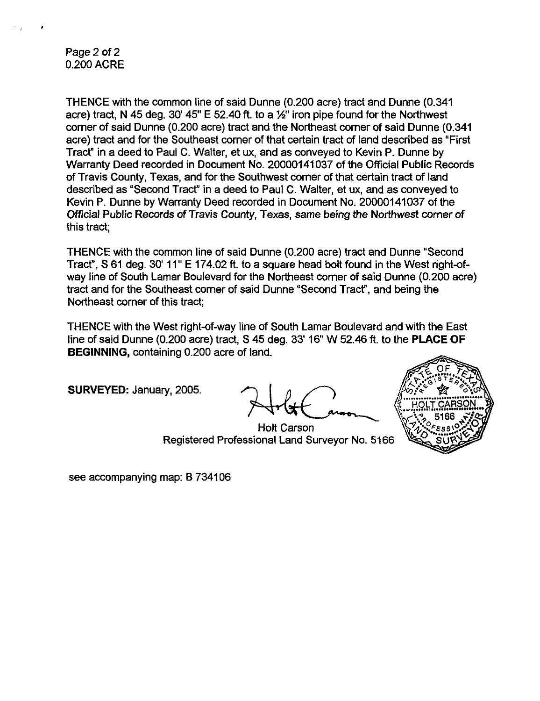Page 2 of 2 0.200 ACRE

THENCE with the common line of said Dunne (0.200 acre) tract and Dunne (0.341 acre) tract, N 45 deg. 30' 45" E 52.40 ft, to a  $\frac{1}{2}$ " iron pipe found for the Northwest corner of said Dunne (0.200 acre) tract and the Northeast comer of said Dunne (0.341 acre) tract and for the Southeast comer of that certain tract of land described as "First Tract" in a deed to Paul C. Walter, et ux, and as conveyed to Kevin P. Dunne by Warranty Deed recorded in Document No. 20000141037 of the Official Public Records of Travis County, Texas, and for the Southwest comer of that certain tract of land described as "Second Tract" in a deed to Paul C. Walter, et ux, and as conveyed to Kevin P. Dunne by Warranty Deed recorded in Document No. 20000141037 of the Official Public Records of Travis County, Texas, same being the Northwest comer of this tract;

THENCE with the common line of said Dunne (0.200 acre) tract and Dunne "Second Tract", S 61 deg. 30' 11" E 174.02 ft. to a square head bolt found in the West right-ofway line of South Lamar Boulevard for the Northeast corner of said Dunne (0.200 acre) tract and for the Southeast comer of said Dunne "Second Tract", and being the Northeast corner of this tract;

THENCE with the West right-of-way line of South Lamar Boulevard and with the East line of said Dunne (0.200 acre) tract, S 45 deg. 33' 16" W 52.46 ft. to the PLACE OF BEGINNING, containing 0.200 acre of land.

SURVEYED: January, 2005.

Holt Carson Registered Professional Land Surveyor No. 5166

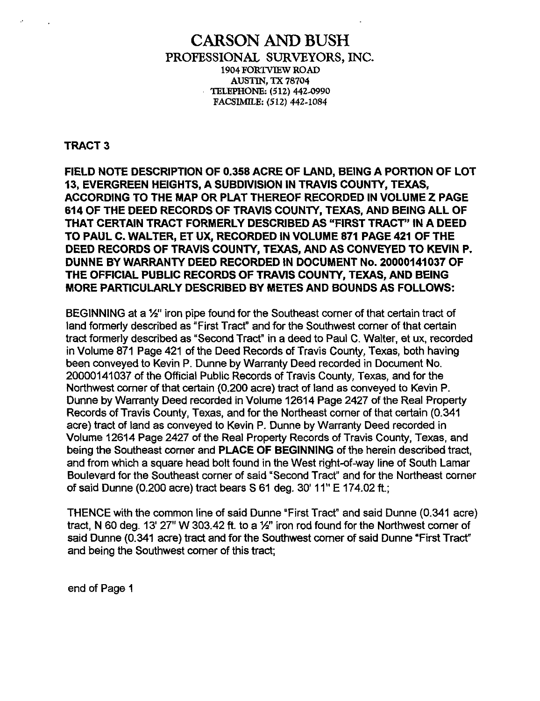#### CARSON AND BUSH PROFESSIONAL SURVEYORS, INC. 1904 TORTVTEW ROAD **AUSTIN, TX 78704** TELEPHONE: (512) 442-0990 FACSIMILE: (512) 442-1084

TRACT 3

FIELD NOTE DESCRIPTION OF 0.358 ACRE OF LAND, BEING A PORTION OF LOT 13, EVERGREEN HEIGHTS, A SUBDIVISION IN TRAVIS COUNTY, TEXAS, ACCORDING TO THE MAP OR PLAT THEREOF RECORDED IN VOLUME Z PAGE 614 OF THE DEED RECORDS OF TRAVIS COUNTY, TEXAS, AND BEING ALL OF THAT CERTAIN TRACT FORMERLY DESCRIBED AS "FIRST TRACT' IN A DEED TO PAUL C. WALTER, ET UX, RECORDED IN VOLUME 871 PAGE 421 OF THE DEED RECORDS OF TRAVIS COUNTY, TEXAS, AND AS CONVEYED TO KEVIN P. DUNNE BY WARRANTY DEED RECORDED IN DOCUMENT No. 20000141037 OF THE OFFICIAL PUBLIC RECORDS OF TRAVIS COUNTY, TEXAS, AND BEING MORE PARTICULARLY DESCRIBED BY METES AND BOUNDS AS FOLLOWS:

BEGINNING at a  $1/2$ " iron pipe found for the Southeast corner of that certain tract of land formerly described as "First Tract" and for the Southwest corner of that certain tract formerly described as "Second Tract" in a deed to Paul C. Walter, et ux, recorded in Volume 871 Page 421 of the Deed Records of Travis County, Texas, both having been conveyed to Kevin P. Dunne by Warranty Deed recorded in Document No. 20000141037 of the Official Public Records of Travis County, Texas, and for the Northwest comer of that certain (0.200 acre) tract of land as conveyed to Kevin P. Dunne by Warranty Deed recorded in Volume 12614 Page 2427 of the Real Property Records of Travis County, Texas, and for the Northeast corner of that certain (0.341 acre) tract of land as conveyed to Kevin P. Dunne by Warranty Deed recorded in Volume 12614 Page 2427 of the Real Property Records of Travis County, Texas, and being the Southeast corner and PLACE OF BEGINNING of the herein described tract, and from which a square head bolt found in the West right-of-way line of South Lamar Boulevard for the Southeast corner of said "Second Tract" and for the Northeast corner of said Dunne (0.200 acre) tract bears S 61 deg. 30' 11" E 174.02 ft.;

THENCE with the common line of said Dunne "First Tract" and said Dunne (0.341 acre) tract, N 60 deg. 13' 27" W 303.42 ft. to a %" iron rod found for the Northwest corner of said Dunne (0.341 acre) tract and for the Southwest comer of said Dunne "First Tract" and being the Southwest comer of this tract;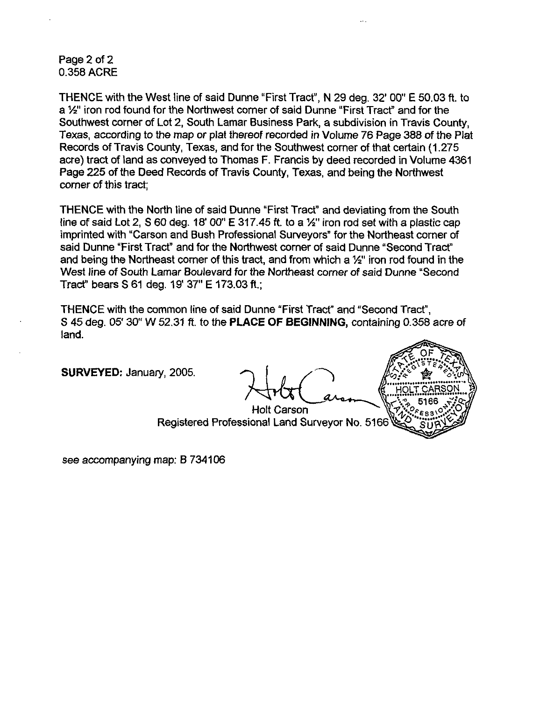#### Page 2 of 2 0.358 ACRE

THENCE with the West line of said Dunne "First Tract", N 29 deg. 32' 00" E 50.03 ft. to a Yz" iron rod found for the Northwest corner of said Dunne "First Tract" and for the Southwest corner of Lot 2, South Lamar Business Park, a subdivision in Travis County, Texas, according to the map or plat thereof recorded in Volume 76 Page 388 of the Plat Records of Travis County, Texas, and for the Southwest corner of that certain (1 .275 acre) tract of land as conveyed to Thomas F. Francis by deed recorded in Volume 4361 Page 225 of the Deed Records of Travis County, Texas, and being the Northwest comer of this tract;

THENCE with the North line of said Dunne "First Tract" and deviating from the South line of said Lot 2, S 60 deg.  $18'$  00" E 317.45 ft. to a  $\frac{1}{2}$ " iron rod set with a plastic cap imprinted with "Carson and Bush Professional Surveyors" for the Northeast comer of said Dunne "First Tract" and for the Northwest comer of said Dunne "Second Tract" and being the Northeast corner of this tract, and from which a 1/<sub>2</sub>" iron rod found in the West line of South Lamar Boulevard for the Northeast corner of said Dunne "Second Tract" bears S 61 deg. 19' 37" E 173.03 ft.;

THENCE with the common line of said Dunne "First Tract" and "Second Tract", S 45 deg. 05' 30" W 52.31 ft. to the PLACE OF BEGINNING, containing 0.358 acre of land.

SURVEYED: January, 2005.

Holt Carson Registered Professional Land Surveyor No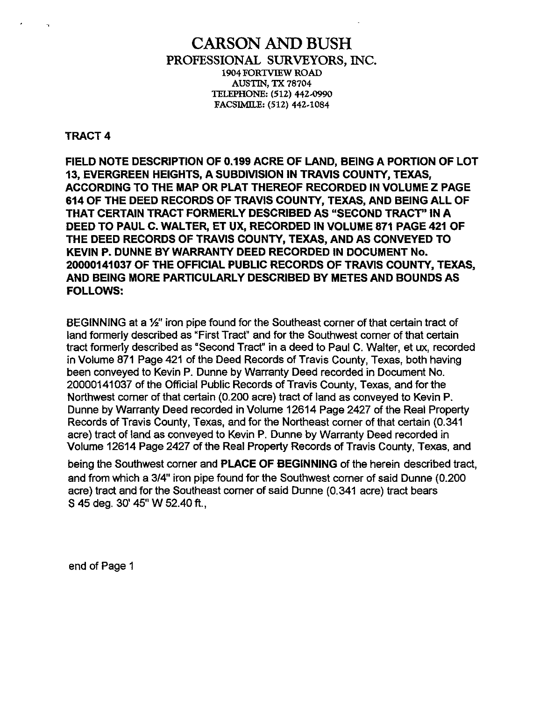### CARSON AND BUSH PROFESSIONAL SURVEYORS, INC. 1904 FORTVIEW ROAD AUSTIN, TX 78704 TELEPHONE: (512) 442-0990 FACSIMILE: (512) 442-1084

#### TRACT 4

FIELD NOTE DESCRIPTION OF 0.199 ACRE OF LAND, BEING A PORTION OF LOT 13, EVERGREEN HEIGHTS, A SUBDIVISION IN TRAVIS COUNTY, TEXAS, ACCORDING TO THE MAP OR PLAT THEREOF RECORDED IN VOLUME Z PAGE 614 OF THE DEED RECORDS OF TRAVIS COUNTY, TEXAS, AND BEING ALL OF THAT CERTAIN TRACT FORMERLY DESCRIBED AS "SECOND TRACT" IN A DEED TO PAUL C. WALTER, ET UX, RECORDED IN VOLUME 871 PAGE 421 OF THE DEED RECORDS OF TRAVIS COUNTY, TEXAS, AND AS CONVEYED TO KEVIN P. DUNNE BY WARRANTY DEED RECORDED IN DOCUMENT No. 20000141037 OF THE OFFICIAL PUBLIC RECORDS OF TRAVIS COUNTY, TEXAS, AND BEING MORE PARTICULARLY DESCRIBED BY METES AND BOUNDS AS FOLLOWS:

BEGINNING at a 1/2" iron pipe found for the Southeast corner of that certain tract of land formerly described as "First Tract" and for the Southwest corner of that certain tract formerly described as "Second Tract" in a deed to Paul C. Walter, et ux, recorded in Volume 871 Page 421 of the Deed Records of Travis County, Texas, both having been conveyed to Kevin P. Dunne by Warranty Deed recorded in Document No. 20000141037 of the Official Public Records of Travis County, Texas, and for the Northwest comer of that certain (0.200 acre) tract of land as conveyed to Kevin P. Dunne by Warranty Deed recorded in Volume 12614 Page 2427 of the Real Property Records of Travis County, Texas, and for the Northeast corner of that certain (0.341 acre) tract of land as conveyed to Kevin P. Dunne by Warranty Deed recorded in Volume 12614 Page 2427 of the Real Property Records of Travis County, Texas, and

being the Southwest corner and PLACE OF BEGINNING of the herein described tract, and from which a 3/4" iron pipe found for the Southwest comer of said Dunne (0.200 acre) tract and for the Southeast comer of said Dunne (0.341 acre) tract bears S 45 deg. 30' 45" W 52.40 ft.,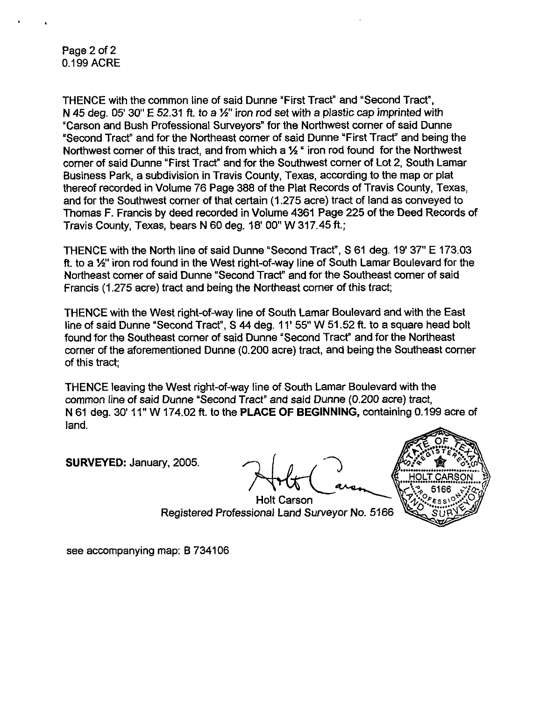Page 2 of 2 0.199 ACRE

THENCE with the common line of said Dunne "First Tract" and "Second Tract", N 45 deg. 05' 30" E 52.31 ft. to a  $\frac{1}{2}$ " iron rod set with a plastic cap imprinted with "Carson and Bush Professional Surveyors" for the Northwest corner of said Dunne "Second Tract" and for the Northeast comer of said Dunne "First Tracf and being the Northwest corner of this tract, and from which a  $\frac{1}{2}$  " iron rod found for the Northwest corner of said Dunne "First Tract" and for the Southwest corner of Lot 2, South Lamar Business Park, a subdivision in Travis County, Texas, according to the map or plat thereof recorded in Volume 76 Page 388 of the Plat Records of Travis County, Texas, and for the Southwest corner of that certain (1.275 acre) tract of land as conveyed to Thomas F. Francis by deed recorded in Volume 4361 Page 225 of the Deed Records of Travis County, Texas, bears N 60 deg. 18' 00" W 317.45 ft.;

THENCE with the North line of said Dunne "Second Tract", S 61 deg. 19' 37" E 173.03 ft. to a Vz" iron rod found in the West right-of-way line of South Lamar Boulevard for the Northeast comer of said Dunne "Second Tract" and for the Southeast comer of said Francis (1.275 acre) tract and being the Northeast comer of this tract;

THENCE with the West right-of-way line of South Lamar Boulevard and with the East line of said Dunne "Second Tract", S 44 deg, 11' 55" W 51.52 ft. to a square head bolt found for the Southeast comer of said Dunne "Second Tract" and for the Northeast corner of the aforementioned Dunne (0.200 acre) tract, and being the Southeast comer of this tract;

THENCE leaving the West right-of-way line of South Lamar Boulevard with the common line of said Dunne "Second Tract" and said Dunne (0.200 acre) tract, N 61 deg. 30' 11" W 174.02 ft. to the PLACE OF BEGINNING, containing 0.199 acre of land.

SURVEYED: January, 2005.



Holt Carson Registered Professional Land Surveyor No. 5166